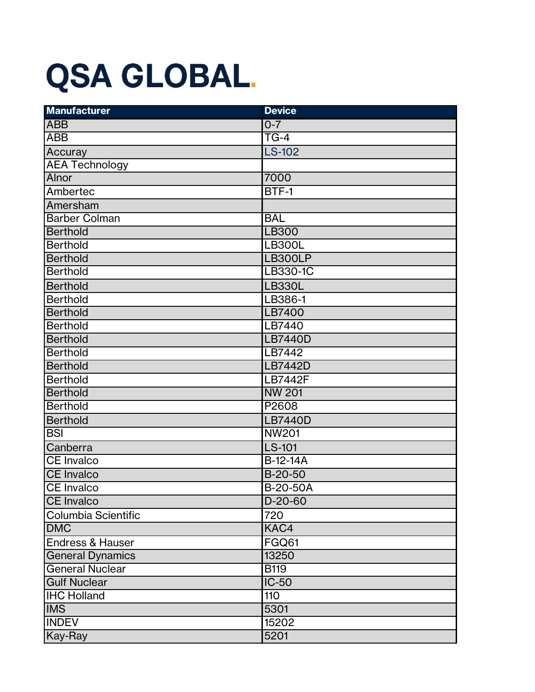## **QSA GLOBAL.**

| <b>Manufacturer</b>         | <b>Device</b>     |
|-----------------------------|-------------------|
| <b>ABB</b>                  | $0 - 7$           |
| <b>ABB</b>                  | $\overline{TG-4}$ |
| Accuray                     | <b>LS-102</b>     |
| <b>AEA Technology</b>       |                   |
| Alnor                       | 7000              |
| Ambertec                    | BTF-1             |
| Amersham                    |                   |
| <b>Barber Colman</b>        | <b>BAL</b>        |
| <b>Berthold</b>             | LB300             |
| <b>Berthold</b>             | <b>LB300L</b>     |
| <b>Berthold</b>             | <b>LB300LP</b>    |
| <b>Berthold</b>             | LB330-1C          |
| <b>Berthold</b>             | <b>LB330L</b>     |
| <b>Berthold</b>             | LB386-1           |
| <b>Berthold</b>             | <b>LB7400</b>     |
| <b>Berthold</b>             | LB7440            |
| <b>Berthold</b>             | <b>LB7440D</b>    |
| <b>Berthold</b>             | LB7442            |
| <b>Berthold</b>             | <b>LB7442D</b>    |
| <b>Berthold</b>             | <b>LB7442F</b>    |
| <b>Berthold</b>             | <b>NW 201</b>     |
| <b>Berthold</b>             | P2608             |
| <b>Berthold</b>             | <b>LB7440D</b>    |
| <b>BSI</b>                  | <b>NW201</b>      |
| Canberra                    | <b>LS-101</b>     |
| <b>CE Invalco</b>           | B-12-14A          |
| <b>CE Invalco</b>           | B-20-50           |
| <b>CE</b> Invalco           | B-20-50A          |
| <b>CE Invalco</b>           | $D-20-60$         |
| Columbia Scientific         | 720               |
| <b>DMC</b>                  | KAC4              |
| <b>Endress &amp; Hauser</b> | FGQ61             |
| <b>General Dynamics</b>     | 13250             |
| <b>General Nuclear</b>      | <b>B119</b>       |
| <b>Gulf Nuclear</b>         | $IC-50$           |
| <b>IHC Holland</b>          | 110               |
| <b>IMS</b>                  | 5301              |
| <b>INDEV</b>                | 15202             |
| Kay-Ray                     | 5201              |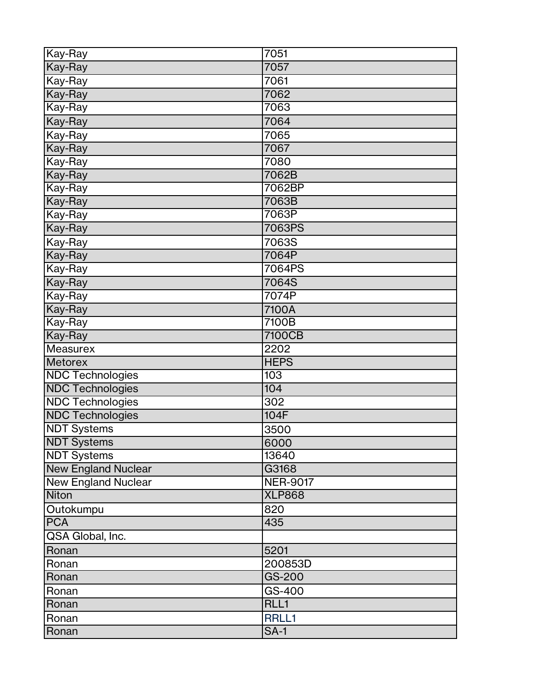| Kay-Ray                    | 7051                 |
|----------------------------|----------------------|
| Kay-Ray                    | 7057                 |
| Kay-Ray                    | 7061                 |
| Kay-Ray                    | 7062                 |
| Kay-Ray                    | 7063                 |
| Kay-Ray                    | 7064                 |
| Kay-Ray                    | 7065                 |
| Kay-Ray                    | 7067                 |
| Kay-Ray                    | 7080                 |
| Kay-Ray                    | 7062B                |
| Kay-Ray                    | 7062BP               |
| Kay-Ray                    | 7063B                |
| Kay-Ray                    | 7063P                |
| Kay-Ray                    | 7063PS               |
| Kay-Ray                    | 7063S                |
| Kay-Ray                    | 7064P                |
| Kay-Ray                    | 7064PS               |
| Kay-Ray                    | 7064S                |
| Kay-Ray                    | 7074P                |
| Kay-Ray                    | 7100A                |
| Kay-Ray                    | 7100B                |
| Kay-Ray                    | 7100CB               |
|                            |                      |
| <b>Measurex</b>            | 2202                 |
| <b>Metorex</b>             | <b>HEPS</b>          |
| <b>NDC Technologies</b>    | 103                  |
| <b>NDC Technologies</b>    | 104                  |
| <b>NDC Technologies</b>    | 302                  |
| <b>NDC Technologies</b>    | 104F                 |
| <b>NDT Systems</b>         | 3500                 |
| <b>NDT Systems</b>         | 6000                 |
| <b>NDT Systems</b>         | 13640                |
| <b>New England Nuclear</b> | G3168                |
| <b>New England Nuclear</b> | <b>NER-9017</b>      |
| <b>Niton</b>               | <b>XLP868</b>        |
| Outokumpu                  | 820                  |
| <b>PCA</b>                 | 435                  |
| QSA Global, Inc.           |                      |
| Ronan                      | 5201                 |
| Ronan                      | 200853D              |
| Ronan                      | GS-200               |
| Ronan                      | GS-400               |
| Ronan                      | RLL1                 |
| Ronan                      | RRLL1<br><b>SA-1</b> |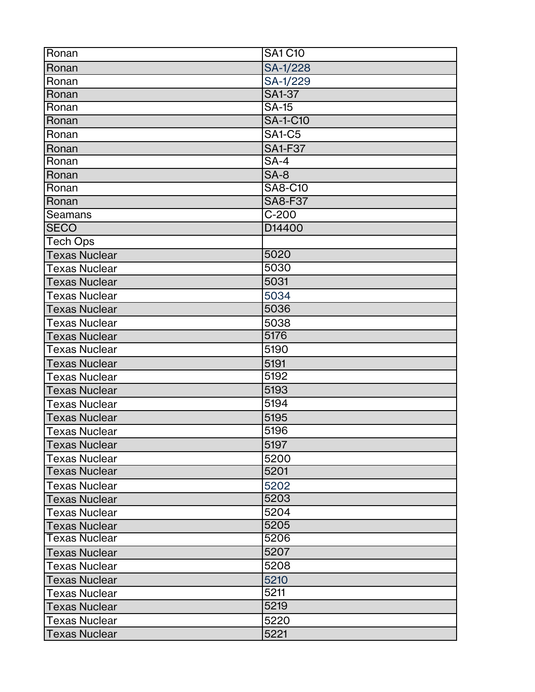| Ronan                | <b>SA1 C10</b>      |
|----------------------|---------------------|
| Ronan                | SA-1/228            |
| Ronan                | SA-1/229            |
| Ronan                | <b>SA1-37</b>       |
| Ronan                | <b>SA-15</b>        |
| Ronan                | <b>SA-1-C10</b>     |
| Ronan                | <b>SA1-C5</b>       |
| Ronan                | <b>SA1-F37</b>      |
| Ronan                | $SA-4$              |
| Ronan                | $SA-8$              |
| Ronan                | <b>SA8-C10</b>      |
| Ronan                | <b>SA8-F37</b>      |
| <b>Seamans</b>       | $\overline{C}$ -200 |
| <b>SECO</b>          | D14400              |
| <b>Tech Ops</b>      |                     |
| <b>Texas Nuclear</b> | 5020                |
| <b>Texas Nuclear</b> | 5030                |
| <b>Texas Nuclear</b> | 5031                |
| <b>Texas Nuclear</b> | 5034                |
| <b>Texas Nuclear</b> | 5036                |
| <b>Texas Nuclear</b> | 5038                |
| <b>Texas Nuclear</b> | 5176                |
| <b>Texas Nuclear</b> | 5190                |
| <b>Texas Nuclear</b> | 5191                |
| <b>Texas Nuclear</b> | 5192                |
| <b>Texas Nuclear</b> | 5193                |
| <b>Texas Nuclear</b> | 5194                |
| <b>Texas Nuclear</b> | 5195                |
| <b>Texas Nuclear</b> | 5196                |
| <b>Texas Nuclear</b> | 5197                |
| <b>Texas Nuclear</b> | 5200                |
| <b>Texas Nuclear</b> | 5201                |
| <b>Texas Nuclear</b> | 5202                |
| <b>Texas Nuclear</b> | 5203                |
| Texas Nuclear        | 5204                |
| <b>Texas Nuclear</b> | 5205                |
| Texas Nuclear        | 5206                |
| <b>Texas Nuclear</b> | 5207                |
| Texas Nuclear        | 5208                |
| <b>Texas Nuclear</b> | 5210                |
| Texas Nuclear        | 5211                |
| <b>Texas Nuclear</b> | 5219                |
| <b>Texas Nuclear</b> | 5220                |
| Texas Nuclear        | 5221                |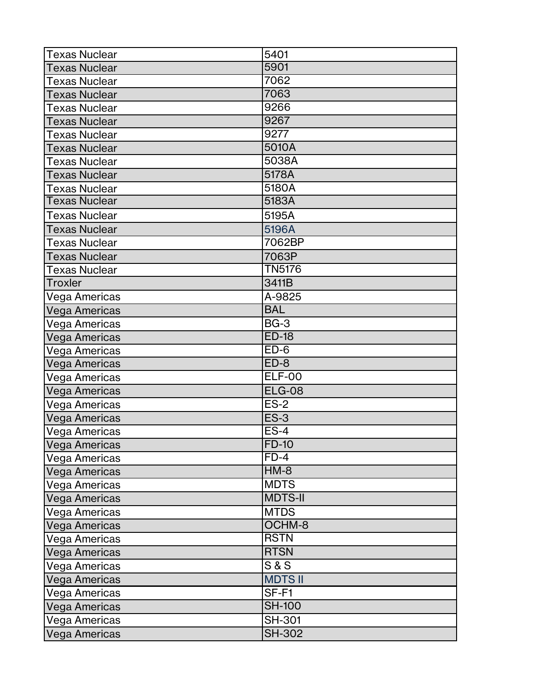| <b>Texas Nuclear</b> | 5401           |
|----------------------|----------------|
| <b>Texas Nuclear</b> | 5901           |
| Texas Nuclear        | 7062           |
| <b>Texas Nuclear</b> | 7063           |
| <b>Texas Nuclear</b> | 9266           |
| <b>Texas Nuclear</b> | 9267           |
| <b>Texas Nuclear</b> | 9277           |
| <b>Texas Nuclear</b> | 5010A          |
| <b>Texas Nuclear</b> | 5038A          |
| <b>Texas Nuclear</b> | 5178A          |
| <b>Texas Nuclear</b> | 5180A          |
| <b>Texas Nuclear</b> | 5183A          |
| <b>Texas Nuclear</b> | 5195A          |
| <b>Texas Nuclear</b> | 5196A          |
| Texas Nuclear        | 7062BP         |
| <b>Texas Nuclear</b> | 7063P          |
| Texas Nuclear        | <b>TN5176</b>  |
| <b>Troxler</b>       | 3411B          |
| Vega Americas        | A-9825         |
| Vega Americas        | <b>BAL</b>     |
| Vega Americas        | <b>BG-3</b>    |
| Vega Americas        | $ED-18$        |
| Vega Americas        | $ED-6$         |
| Vega Americas        | $ED-8$         |
| Vega Americas        | <b>ELF-00</b>  |
| Vega Americas        | <b>ELG-08</b>  |
| Vega Americas        | $ES-2$         |
| Vega Americas        | <b>ES-3</b>    |
| Vega Americas        | $ES-4$         |
| Vega Americas        | <b>FD-10</b>   |
| Vega Americas        | $FD-4$         |
| Vega Americas        | $HM-8$         |
| Vega Americas        | <b>MDTS</b>    |
| <b>Vega Americas</b> | <b>MDTS-II</b> |
| Vega Americas        | <b>MTDS</b>    |
| Vega Americas        | OCHM-8         |
| Vega Americas        | <b>RSTN</b>    |
| Vega Americas        | <b>RTSN</b>    |
| Vega Americas        | S & S          |
| Vega Americas        | <b>MDTS II</b> |
| Vega Americas        | SF-F1          |
| Vega Americas        | <b>SH-100</b>  |
| Vega Americas        | <b>SH-301</b>  |
| Vega Americas        | <b>SH-302</b>  |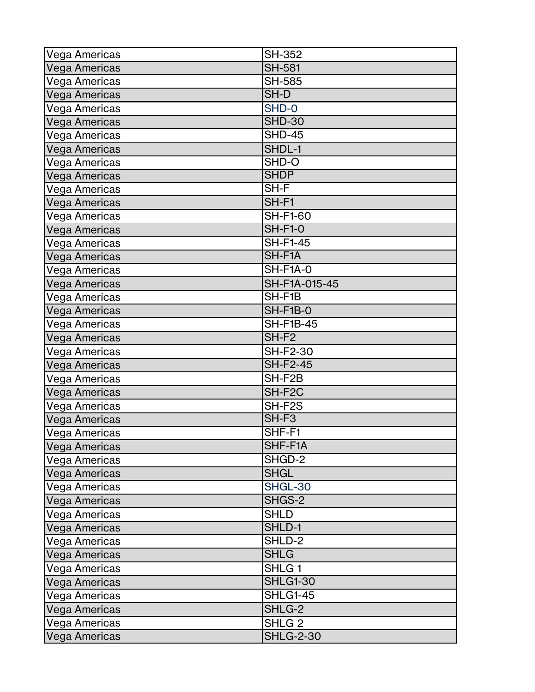| Vega Americas        | <b>SH-352</b>     |
|----------------------|-------------------|
| Vega Americas        | <b>SH-581</b>     |
| Vega Americas        | <b>SH-585</b>     |
| Vega Americas        | SH-D              |
| Vega Americas        | SHD-0             |
| Vega Americas        | <b>SHD-30</b>     |
| Vega Americas        | <b>SHD-45</b>     |
| Vega Americas        | SHDL-1            |
| Vega Americas        | SHD-O             |
| Vega Americas        | <b>SHDP</b>       |
| Vega Americas        | SH-F              |
| Vega Americas        | SH-F1             |
| Vega Americas        | <b>SH-F1-60</b>   |
| Vega Americas        | <b>SH-F1-0</b>    |
| Vega Americas        | <b>SH-F1-45</b>   |
| Vega Americas        | SH-F1A            |
| Vega Americas        | SH-F1A-0          |
| Vega Americas        | SH-F1A-015-45     |
| Vega Americas        | SH-F1B            |
| Vega Americas        | <b>SH-F1B-0</b>   |
| Vega Americas        | <b>SH-F1B-45</b>  |
| Vega Americas        | SH-F <sub>2</sub> |
| Vega Americas        | <b>SH-F2-30</b>   |
| Vega Americas        | <b>SH-F2-45</b>   |
| Vega Americas        | SH-F2B            |
| Vega Americas        | SH-F2C            |
| Vega Americas        | SH-F2S            |
| <b>Vega Americas</b> | SH-F <sub>3</sub> |
| Vega Americas        | SHF-F1            |
| Vega Americas        | SHF-F1A           |
| Vega Americas        | SHGD-2            |
| Vega Americas        | <b>SHGL</b>       |
| Vega Americas        | SHGL-30           |
| <b>Vega Americas</b> | SHGS-2            |
| Vega Americas        | <b>SHLD</b>       |
| Vega Americas        | SHLD-1            |
| Vega Americas        | SHLD-2            |
| Vega Americas        | <b>SHLG</b>       |
| Vega Americas        | SHLG <sub>1</sub> |
| Vega Americas        | <b>SHLG1-30</b>   |
| Vega Americas        | <b>SHLG1-45</b>   |
| Vega Americas        | SHLG-2            |
| Vega Americas        | SHLG <sub>2</sub> |
| Vega Americas        | <b>SHLG-2-30</b>  |